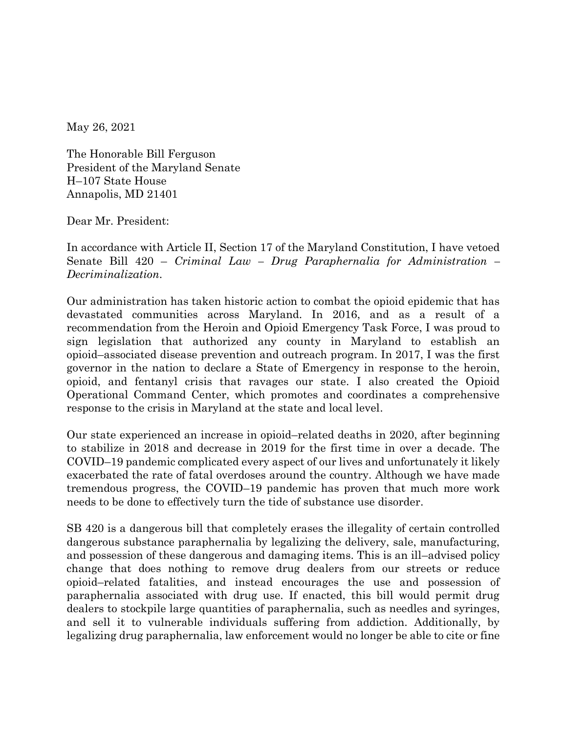May 26, 2021

The Honorable Bill Ferguson President of the Maryland Senate H–107 State House Annapolis, MD 21401

Dear Mr. President:

In accordance with Article II, Section 17 of the Maryland Constitution, I have vetoed Senate Bill 420 – *Criminal Law – Drug Paraphernalia for Administration – Decriminalization*.

Our administration has taken historic action to combat the opioid epidemic that has devastated communities across Maryland. In 2016, and as a result of a recommendation from the Heroin and Opioid Emergency Task Force, I was proud to sign legislation that authorized any county in Maryland to establish an opioid–associated disease prevention and outreach program. In 2017, I was the first governor in the nation to declare a State of Emergency in response to the heroin, opioid, and fentanyl crisis that ravages our state. I also created the Opioid Operational Command Center, which promotes and coordinates a comprehensive response to the crisis in Maryland at the state and local level.

Our state experienced an increase in opioid–related deaths in 2020, after beginning to stabilize in 2018 and decrease in 2019 for the first time in over a decade. The COVID–19 pandemic complicated every aspect of our lives and unfortunately it likely exacerbated the rate of fatal overdoses around the country. Although we have made tremendous progress, the COVID–19 pandemic has proven that much more work needs to be done to effectively turn the tide of substance use disorder.

SB 420 is a dangerous bill that completely erases the illegality of certain controlled dangerous substance paraphernalia by legalizing the delivery, sale, manufacturing, and possession of these dangerous and damaging items. This is an ill–advised policy change that does nothing to remove drug dealers from our streets or reduce opioid–related fatalities, and instead encourages the use and possession of paraphernalia associated with drug use. If enacted, this bill would permit drug dealers to stockpile large quantities of paraphernalia, such as needles and syringes, and sell it to vulnerable individuals suffering from addiction. Additionally, by legalizing drug paraphernalia, law enforcement would no longer be able to cite or fine